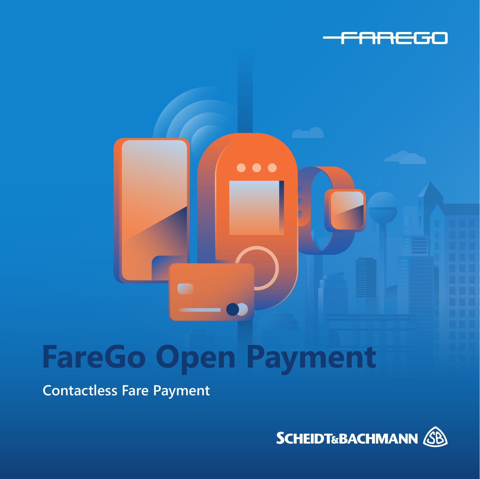

# **FareGo Open Payment**

. . .

**Contactless Fare Payment**

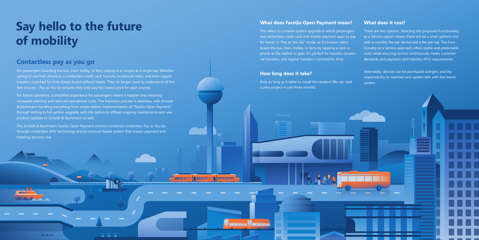# **Say hello to the future of mobility**

### **What does FareGo Open Payment mean?**

This refers to a transit system upgrade in which passengers use contactless credit card and mobile payment apps to pay for travel. In "Pay as You Go" mode, as it's known, riders board the bus, train, trolley, or ferry by tapping a card or phone at the station or gate. It's perfect for tourists, occasional travelers, and regular travelers crunched for time.

### **How long does it take?**

(anna Vanna

Only as long as it takes to install the readers! We can start a pilot project in just three months.

#### **What does it cost?**

There are two options: Selecting the proposed Functionality as a Service option means there will be a small upfront cost with a monthly fee per device and a fee per tap. The Functionality as a Service approach offers stable and predictable costs while ensuring service continuously meets customer demands and payment card industry (PCI) requirements.

Alternately, devices can be purchased outright, and the responsibility to maintain and update falls with the transit system.



### **Contactless pay as you go**

**ALCOHOL** 

For passengers boarding the bus, train, trolley, or ferry paying is as simple as a single tap. Whether opting to use their phone or a contactless credit card; tourists, occasional riders, and even regular travelers crunched for time simply board without hassle. They no longer need to understand all the fare choices – Pay as You Go ensures they only pay the lowest price for each journey.

For transit operators, a simplified experience for passengers means a happier one, meaning increased ridership and reduced operational costs. The transition process is seamless, with Scheidt & Bachmann handling everything from single-station implementation of "FareGo Open Payment" through testing to full-system upgrade, with the option to offload ongoing maintenance and new product updates to Scheidt & Bachmann as well.

The Scheidt & Bachmann FareGo Open Payment solution combines contactless Pay as You Go through contactless EMV technology and an account-based system that means: payment and ticketing become one.

2 Q J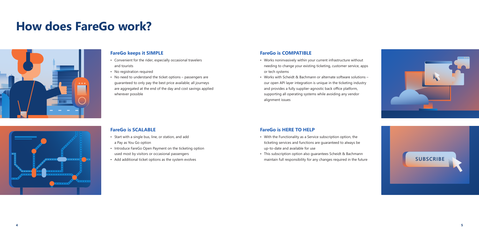



### **How does FareGo work?**





### **FareGo keeps it SIMPLE**

- Convenient for the rider, especially occasional travelers and tourists
- No registration required
- No need to understand the ticket options passengers are guaranteed to only pay the best price available; all journeys are aggregated at the end of the day and cost savings applied wherever possible

### **FareGo is SCALABLE**

- Start with a single bus, line, or station, and add a Pay as You Go option
- Introduce FareGo Open Payment on the ticketing option used most by visitors or occasional passengers
- Add additional ticket options as the system evolves
- With the Functionality as a Service subscription option, the ticketing services and functions are guaranteed to always be up-to-date and available for use
- This subscription option also guarantees Scheidt & Bachmann maintain full responsibility for any changes required in the future **SUBSCRIBE**

### **FareGo is COMPATIBLE**

- Works noninvasively within your current infrastructure without needing to change your existing ticketing, customer service, apps or tech systems
- Works with Scheidt & Bachmann or alternate software solutions our open API layer integration is unique in the ticketing industry and provides a fully supplier-agnostic back office platform, supporting all operating systems while avoiding any vendor alignment issues

### **FareGo is HERE TO HELP**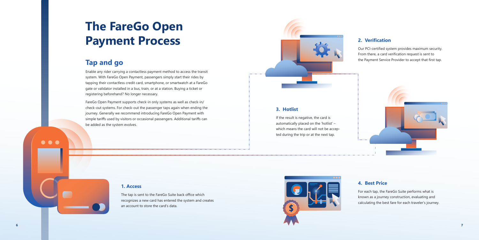

## **The FareGo Open Payment Process**

### **Tap and go**

Enable any rider carrying a contactless payment method to access the transit system. With FareGo Open Payment, passengers simply start their rides by tapping their contactless credit card, smartphone, or smartwatch at a FareGo gate or validator installed in a bus, train, or at a station. Buying a ticket or registering beforehand? No longer necessary.

FareGo Open Payment supports check-in only systems as well as check-in/ check-out systems. For check-out the passenger taps again when ending the journey. Generally we recommend introducing FareGo Open Payment with simple tariffs used by visitors or occasional passengers. Additional tariffs can be added as the system evolves.



### **1. Access**

The tap is sent to the FareGo Suite back office which recognizes a new card has entered the system and creates an account to store the card's data.

### **3. Hotlist**

If the result is negative, the card is automatically placed on the 'hotlist' – which means the card will not be accepted during the trip or at the next tap.



 $\bullet\bullet\bullet$ 

### **2. Verification**

Our PCI-certified system provides maximum security. From there, a card verification request is sent to the Payment Service Provider to accept that first tap.



### **4. Best Price**

For each tap, the FareGo Suite performs what is known as a journey construction, evaluating and calculating the best fare for each traveler's journey.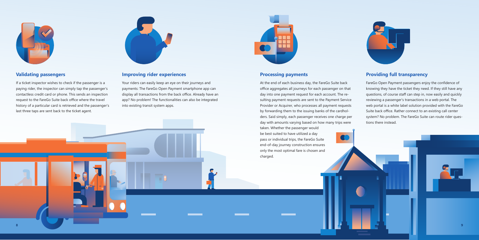



### **Validating passengers**

If a ticket inspector wishes to check if the passenger is a paying rider, the inspector can simply tap the passenger's contactless credit card or phone. This sends an inspection request to the FareGo Suite back office where the travel history of a particular card is retrieved and the passenger's last three taps are sent back to the ticket agent.



### **Processing payments**

At the end of each business day, the FareGo Suite back office aggregates all journeys for each passenger on that day into one payment request for each account. The resulting payment requests are sent to the Payment Service Provider or Acquirer, who processes all payment requests by forwarding them to the issuing banks of the cardholders. Said simply, each passenger receives one charge per day with amounts varying based on how many trips were

taken. Whether the passenger would be best suited to have utilized a day pass or individual trips, the FareGo Suite end-of-day journey construction ensures only the most optimal fare is chosen and charged.





### **Providing full transparency**

FareGo Open Payment passengers enjoy the confidence of knowing they have the ticket they need. If they still have any questions, of course staff can step in, now easily and quickly reviewing a passenger's transactions in a web portal. The web portal is a white label solution provided with the FareGo Suite back office. Rather connect to an existing call center system? No problem. The FareGo Suite can route rider questions there instead.

### **Improving rider experiences**

Your riders can easily keep an eye on their journeys and payments: The FareGo Open Payment smartphone app can display all transactions from the back office. Already have an app? No problem! The functionalities can also be integrated into existing transit system apps.

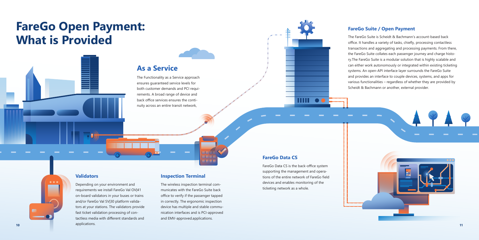## **FareGo Open Payment: What is Provided**

#### **Validators**

**10 11** Depending on your environment and requirements we install FareGo Val OV|41 on-board validators in your buses or trains and/or FareGo Val SV|30 platform validators at your stations. The validators provide fast ticket validation processing of contactless media with different standards and applications.

### **Inspection Terminal**

The wireless inspection terminal communicates with the FareGo Suite back office to verify if the passenger tapped in correctly. The ergonomic inspection device has multiple and stable communication interfaces and is PCI-approved and EMV-approved.applications.

### **As a Service**

The Functionality as a Service approach ensures guaranteed service levels for both customer demands and PCI requirements. A broad range of device and back office services ensures the continuity across an entire transit network,



### **FareGo Suite / Open Payment**

The FareGo Suite is Scheidt & Bachmann's account-based back office. It handles a variety of tasks, chiefly, processing contactless transactions and aggregating and processing payments. From there, the FareGo Suite collates each passenger journey and charge history.The FareGo Suite is a modular solution that is highly scalable and can either work autonomously or integrated within existing ticketing systems. An open-API interface layer surrounds the FareGo Suite and provides an interface to couple devices, systems, and apps for various functionalities – regardless of whether they are provided by Scheidt & Bachmann or another, external provider.



### **FareGo Data CS**

FareGo Data CS is the back-office system supporting the management and operations of the entire network of FareGo field devices and enables monitoring of the ticketing network as a whole.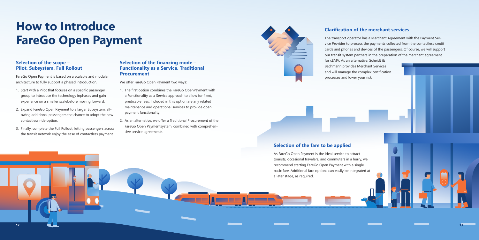### **Selection of the scope – Pilot, Subsystem, Full Rollout**

FareGo Open Payment is based on a scalable and modular architecture to fully support a phased introduction.

- 1. Start with a Pilot that focuses on a specific passenger group to introduce the technology inphases and gain experience on a smaller scalebefore moving forward.
- 2. Expand FareGo Open Payment to a larger Subsystem, allowing additional passengers the chance to adopt the new contactless ride option.
- 3. Finally, complete the Full Rollout, letting passengers across the transit network enjoy the ease of contactless payment.

### **Selection of the financing mode – Functionality as a Service, Traditional Procurement**

We offer FareGo Open Payment two ways:

- 1. The first option combines the FareGo OpenPayment with a Functionality as a Service approach to allow for fixed, predicable fees. Included in this option are any related maintenance and operational services to provide open payment functionality.
- 2. As an alternative, we offer a Traditional Procurement of the FareGo Open Paymentsystem, combined with comprehensive service agreements.



### **Clarification of the merchant services**

The transport operator has a Merchant Agreement with the Payment Service Provider to process the payments collected from the contactless credit cards and phones and devices of the passengers. Of course, we will support our transit system partners in the preparation of the merchant agreement for cEMV. As an alternative, Scheidt & Bachmann provides Merchant Services and will manage the complex certification processes and lower your risk.

## **How to Introduce FareGo Open Payment**

### **Selection of the fare to be applied**

As FareGo Open Payment is the ideal service to attract tourists, occasional travelers, and commuters in a hurry, we recommend starting FareGo Open Payment with a single basic fare. Additional fare options can easily be integrated at a later stage, as required.

- 
- 

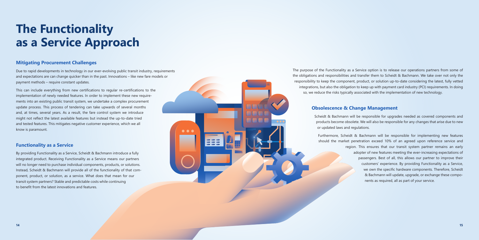### **Mitigating Procurement Challenges**

Due to rapid developments in technology in our ever-evolving public transit industry, requirements and expectations are can change quicker than in the past. Innovations – like new fare models or payment methods – require constant updates.

This can include everything from new certifications to regular re-certifications to the implementation of newly needed features. In order to implement these new requirements into an existing public transit system, we undertake a complex procurement update process. This process of tendering can take upwards of several months and, at times, several years. As a result, the fare control system we introduce might not reflect the latest available features but instead the up-to-date tried and tested features. This mitigates negative customer experience, which we all know is paramount.

### **Functionality as a Service**

By providing Functionality as a Service, Scheidt & Bachmann introduce a fully integrated product. Receiving Functionality as a Service means our partners will no longer need to purchase individual components, products, or solutions. Instead, Scheidt & Bachmann will provide all of the functionality of that component, product, or solution, as a service. What does that mean for our transit system partners? Stable and predictable costs while continuing to benefit from the latest innovations and features.

The purpose of the Functionality as a Service option is to release our operations partners from some of the obligations and responsibilities and transfer them to Scheidt & Bachmann. We take over not only the responsibility to keep the component, product, or solution up-to-date considering the latest, fully vetted integrations, but also the obligation to keep up with payment card industry (PCI) requirements. In doing so, we reduce the risks typically associated with the implementation of new technology.

### **Obsolescence & Change Management**

Scheidt & Bachmann will be responsible for upgrades needed as covered components and products become obsolete. We will also be responsible for any changes that arise due to new or updated laws and regulations.

Furthermore, Scheidt & Bachmann will be responsible for implementing new features should the market penetration exceed 10% of an agreed upon reference service and region. This ensures that our transit system partner remains an early adopter of new features meeting the ever-increasing expectations of passengers. Best of all, this allows our partner to improve their customers' experience. By providing Functionality as a Service, we own the specific hardware components. Therefore, Scheidt & Bachmann will update, upgrade, or exchange these components as required, all as part of your service.

# **The Functionality as a Service Approach**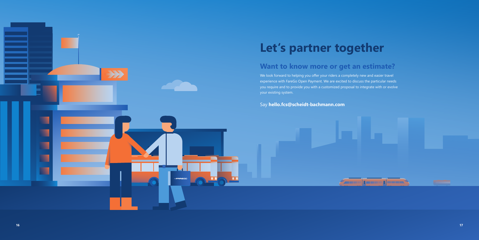